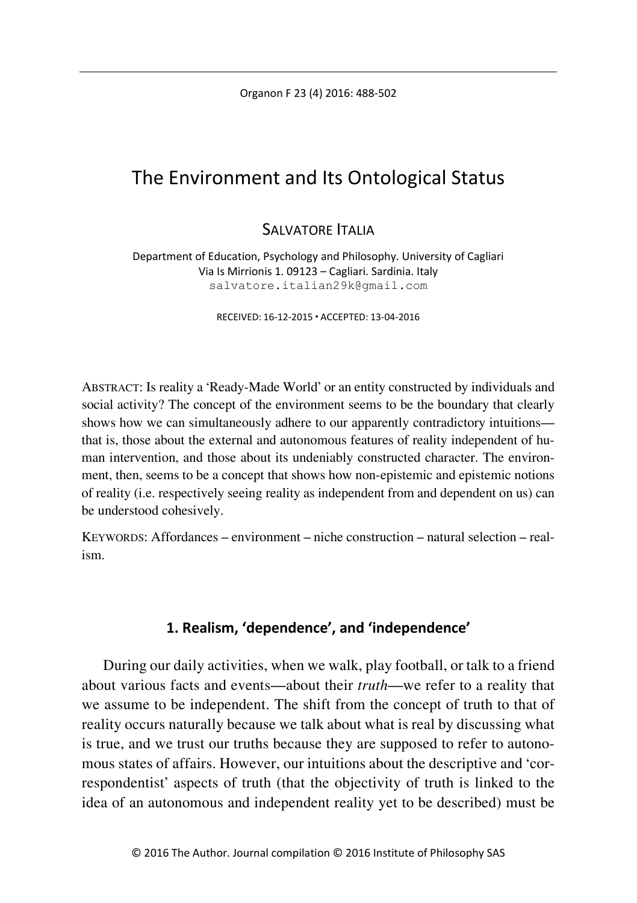Organon F 23 (4) 2016: 488-502

# The Environment and Its Ontological Status

## SALVATORE **ITALIA**

Department of Education, Psychology and Philosophy. University of Cagliari Via Is Mirrionis 1. 09123 – Cagliari. Sardinia. Italy salvatore.italian29k@gmail.com

RECEIVED: 16-12-2015 ACCEPTED: 13-04-2016

ABSTRACT: Is reality a 'Ready-Made World' or an entity constructed by individuals and social activity? The concept of the environment seems to be the boundary that clearly shows how we can simultaneously adhere to our apparently contradictory intuitions that is, those about the external and autonomous features of reality independent of human intervention, and those about its undeniably constructed character. The environment, then, seems to be a concept that shows how non-epistemic and epistemic notions of reality (i.e. respectively seeing reality as independent from and dependent on us) can be understood cohesively.

KEYWORDS: Affordances – environment – niche construction – natural selection – realism.

### **1. Realism, 'dependence', and 'independence'**

During our daily activities, when we walk, play football, or talk to a friend about various facts and events—about their *truth*—we refer to a reality that we assume to be independent. The shift from the concept of truth to that of reality occurs naturally because we talk about what is real by discussing what is true, and we trust our truths because they are supposed to refer to autonomous states of affairs. However, our intuitions about the descriptive and 'correspondentist' aspects of truth (that the objectivity of truth is linked to the idea of an autonomous and independent reality yet to be described) must be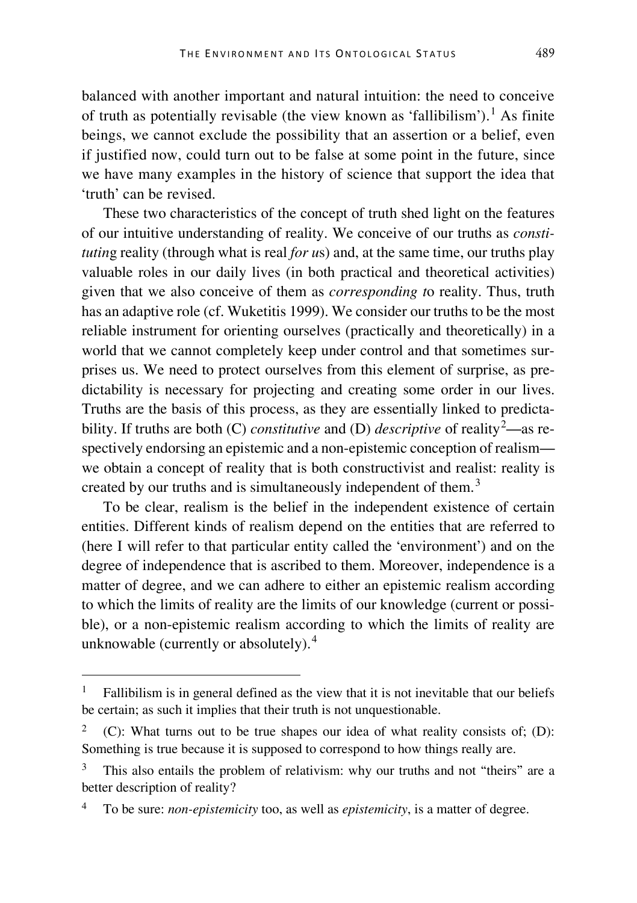balanced with another important and natural intuition: the need to conceive of truth as potentially revisable (the view known as 'fallibilism').<sup>[1](#page-1-0)</sup> As finite beings, we cannot exclude the possibility that an assertion or a belief, even if justified now, could turn out to be false at some point in the future, since we have many examples in the history of science that support the idea that 'truth' can be revised.

These two characteristics of the concept of truth shed light on the features of our intuitive understanding of reality. We conceive of our truths as *constitutin*g reality (through what is real *for u*s) and, at the same time, our truths play valuable roles in our daily lives (in both practical and theoretical activities) given that we also conceive of them as *corresponding t*o reality. Thus, truth has an adaptive role (cf. Wuketitis 1999). We consider our truths to be the most reliable instrument for orienting ourselves (practically and theoretically) in a world that we cannot completely keep under control and that sometimes surprises us. We need to protect ourselves from this element of surprise, as predictability is necessary for projecting and creating some order in our lives. Truths are the basis of this process, as they are essentially linked to predictability. If truths are both (C) *constitutive* and (D) *descriptive* of reality<sup>[2](#page-1-1)</sup>—as respectively endorsing an epistemic and a non-epistemic conception of realism we obtain a concept of reality that is both constructivist and realist: reality is created by our truths and is simultaneously independent of them.<sup>[3](#page-1-2)</sup>

To be clear, realism is the belief in the independent existence of certain entities. Different kinds of realism depend on the entities that are referred to (here I will refer to that particular entity called the 'environment') and on the degree of independence that is ascribed to them. Moreover, independence is a matter of degree, and we can adhere to either an epistemic realism according to which the limits of reality are the limits of our knowledge (current or possible), or a non-epistemic realism according to which the limits of reality are unknowable (currently or absolutely).[4](#page-1-3)

<span id="page-1-0"></span> <sup>1</sup> Fallibilism is in general defined as the view that it is not inevitable that our beliefs be certain; as such it implies that their truth is not unquestionable.

<span id="page-1-1"></span><sup>2</sup> (C): What turns out to be true shapes our idea of what reality consists of; (D): Something is true because it is supposed to correspond to how things really are.

<span id="page-1-2"></span>This also entails the problem of relativism: why our truths and not "theirs" are a better description of reality?

<span id="page-1-3"></span><sup>4</sup> To be sure: *non-epistemicity* too, as well as *epistemicity*, is a matter of degree.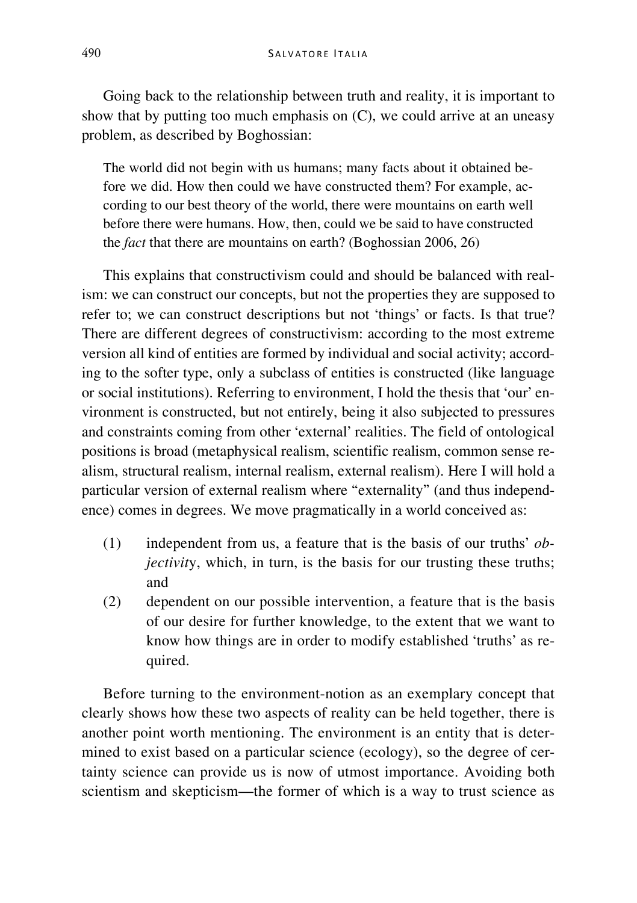Going back to the relationship between truth and reality, it is important to show that by putting too much emphasis on (C), we could arrive at an uneasy problem, as described by Boghossian:

The world did not begin with us humans; many facts about it obtained before we did. How then could we have constructed them? For example, according to our best theory of the world, there were mountains on earth well before there were humans. How, then, could we be said to have constructed the *fact* that there are mountains on earth? (Boghossian 2006, 26)

This explains that constructivism could and should be balanced with realism: we can construct our concepts, but not the properties they are supposed to refer to; we can construct descriptions but not 'things' or facts. Is that true? There are different degrees of constructivism: according to the most extreme version all kind of entities are formed by individual and social activity; according to the softer type, only a subclass of entities is constructed (like language or social institutions). Referring to environment, I hold the thesis that 'our' environment is constructed, but not entirely, being it also subjected to pressures and constraints coming from other 'external' realities. The field of ontological positions is broad (metaphysical realism, scientific realism, common sense realism, structural realism, internal realism, external realism). Here I will hold a particular version of external realism where "externality" (and thus independence) comes in degrees. We move pragmatically in a world conceived as:

- (1) independent from us, a feature that is the basis of our truths' *objectivity*, which, in turn, is the basis for our trusting these truths; and
- (2) dependent on our possible intervention, a feature that is the basis of our desire for further knowledge, to the extent that we want to know how things are in order to modify established 'truths' as required.

Before turning to the environment-notion as an exemplary concept that clearly shows how these two aspects of reality can be held together, there is another point worth mentioning. The environment is an entity that is determined to exist based on a particular science (ecology), so the degree of certainty science can provide us is now of utmost importance. Avoiding both scientism and skepticism—the former of which is a way to trust science as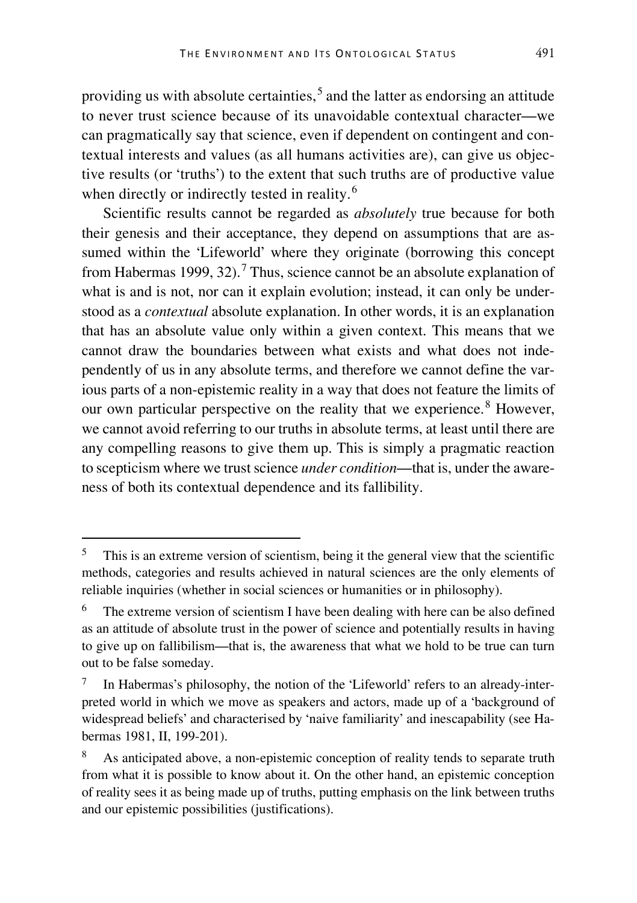providing us with absolute certainties,<sup>[5](#page-3-0)</sup> and the latter as endorsing an attitude to never trust science because of its unavoidable contextual character—we can pragmatically say that science, even if dependent on contingent and contextual interests and values (as all humans activities are), can give us objective results (or 'truths') to the extent that such truths are of productive value when directly or indirectly tested in reality.<sup>[6](#page-3-1)</sup>

Scientific results cannot be regarded as *absolutely* true because for both their genesis and their acceptance, they depend on assumptions that are assumed within the 'Lifeworld' where they originate (borrowing this concept from Habermas 1999, 32).<sup>[7](#page-3-2)</sup> Thus, science cannot be an absolute explanation of what is and is not, nor can it explain evolution; instead, it can only be understood as a *contextual* absolute explanation. In other words, it is an explanation that has an absolute value only within a given context. This means that we cannot draw the boundaries between what exists and what does not independently of us in any absolute terms, and therefore we cannot define the various parts of a non-epistemic reality in a way that does not feature the limits of our own particular perspective on the reality that we experience.<sup>[8](#page-3-3)</sup> However, we cannot avoid referring to our truths in absolute terms, at least until there are any compelling reasons to give them up. This is simply a pragmatic reaction to scepticism where we trust science *under condition*—that is, under the awareness of both its contextual dependence and its fallibility.

<span id="page-3-0"></span><sup>&</sup>lt;sup>5</sup> This is an extreme version of scientism, being it the general view that the scientific methods, categories and results achieved in natural sciences are the only elements of reliable inquiries (whether in social sciences or humanities or in philosophy).

<span id="page-3-1"></span> $6$  The extreme version of scientism I have been dealing with here can be also defined as an attitude of absolute trust in the power of science and potentially results in having to give up on fallibilism—that is, the awareness that what we hold to be true can turn out to be false someday.

<span id="page-3-2"></span><sup>7</sup> In Habermas's philosophy, the notion of the 'Lifeworld' refers to an already-interpreted world in which we move as speakers and actors, made up of a 'background of widespread beliefs' and characterised by 'naive familiarity' and inescapability (see Habermas 1981, II, 199-201).

<span id="page-3-3"></span>As anticipated above, a non-epistemic conception of reality tends to separate truth from what it is possible to know about it. On the other hand, an epistemic conception of reality sees it as being made up of truths, putting emphasis on the link between truths and our epistemic possibilities (justifications).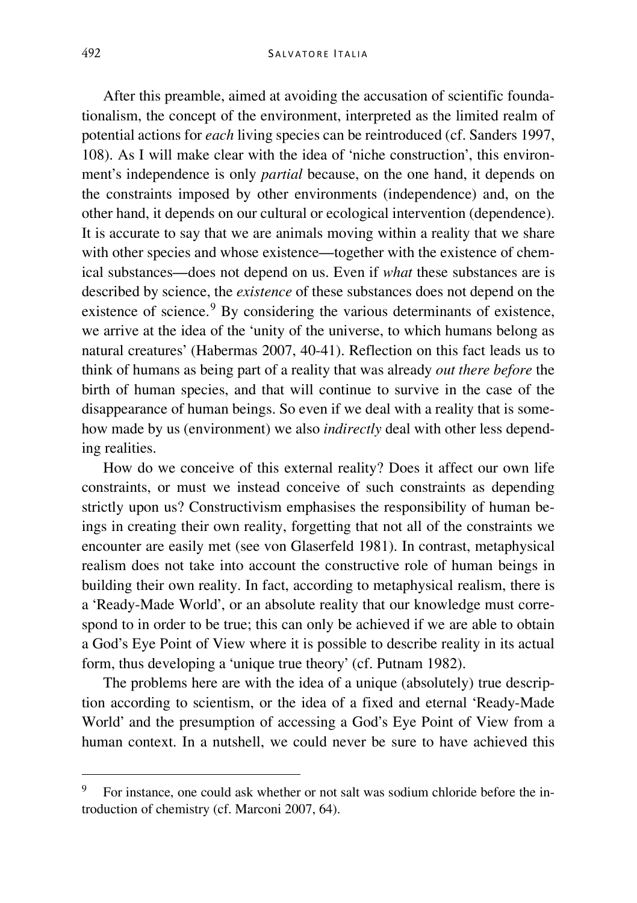After this preamble, aimed at avoiding the accusation of scientific foundationalism, the concept of the environment, interpreted as the limited realm of potential actions for *each* living species can be reintroduced (cf. Sanders 1997, 108). As I will make clear with the idea of 'niche construction', this environment's independence is only *partial* because, on the one hand, it depends on the constraints imposed by other environments (independence) and, on the other hand, it depends on our cultural or ecological intervention (dependence). It is accurate to say that we are animals moving within a reality that we share with other species and whose existence—together with the existence of chemical substances—does not depend on us. Even if *what* these substances are is described by science, the *existence* of these substances does not depend on the existence of science.<sup>[9](#page-4-0)</sup> By considering the various determinants of existence, we arrive at the idea of the 'unity of the universe, to which humans belong as natural creatures' (Habermas 2007, 40-41). Reflection on this fact leads us to think of humans as being part of a reality that was already *out there before* the birth of human species, and that will continue to survive in the case of the disappearance of human beings. So even if we deal with a reality that is somehow made by us (environment) we also *indirectly* deal with other less depending realities.

How do we conceive of this external reality? Does it affect our own life constraints, or must we instead conceive of such constraints as depending strictly upon us? Constructivism emphasises the responsibility of human beings in creating their own reality, forgetting that not all of the constraints we encounter are easily met (see von Glaserfeld 1981). In contrast, metaphysical realism does not take into account the constructive role of human beings in building their own reality. In fact, according to metaphysical realism, there is a 'Ready-Made World', or an absolute reality that our knowledge must correspond to in order to be true; this can only be achieved if we are able to obtain a God's Eye Point of View where it is possible to describe reality in its actual form, thus developing a 'unique true theory' (cf. Putnam 1982).

The problems here are with the idea of a unique (absolutely) true description according to scientism, or the idea of a fixed and eternal 'Ready-Made World' and the presumption of accessing a God's Eye Point of View from a human context. In a nutshell, we could never be sure to have achieved this

<span id="page-4-0"></span> <sup>9</sup> For instance, one could ask whether or not salt was sodium chloride before the introduction of chemistry (cf. Marconi 2007, 64).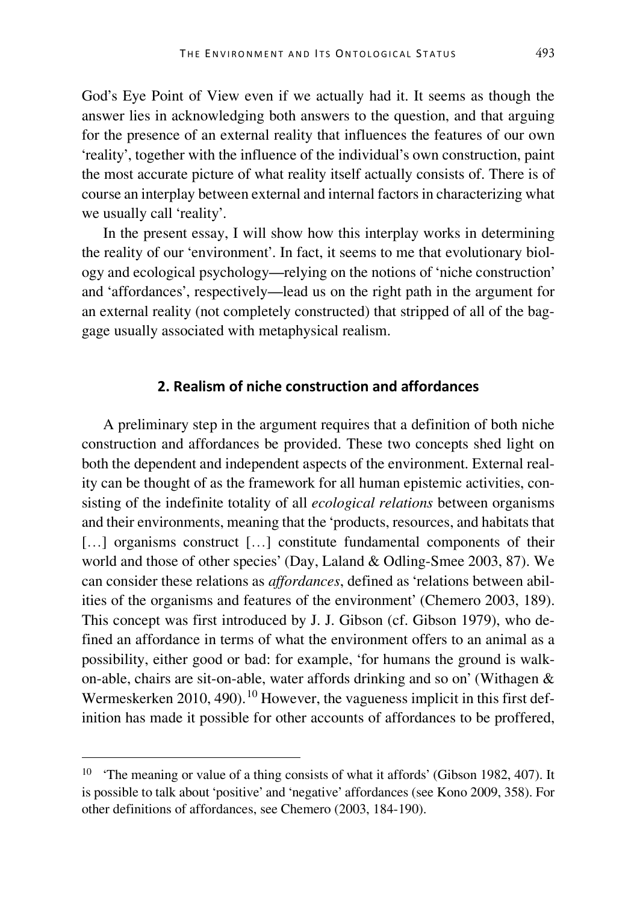God's Eye Point of View even if we actually had it. It seems as though the answer lies in acknowledging both answers to the question, and that arguing for the presence of an external reality that influences the features of our own 'reality', together with the influence of the individual's own construction, paint the most accurate picture of what reality itself actually consists of. There is of course an interplay between external and internal factors in characterizing what we usually call 'reality'.

In the present essay, I will show how this interplay works in determining the reality of our 'environment'. In fact, it seems to me that evolutionary biology and ecological psychology—relying on the notions of 'niche construction' and 'affordances', respectively—lead us on the right path in the argument for an external reality (not completely constructed) that stripped of all of the baggage usually associated with metaphysical realism.

#### **2. Realism of niche construction and affordances**

A preliminary step in the argument requires that a definition of both niche construction and affordances be provided. These two concepts shed light on both the dependent and independent aspects of the environment. External reality can be thought of as the framework for all human epistemic activities, consisting of the indefinite totality of all *ecological relations* between organisms and their environments, meaning that the 'products, resources, and habitats that [...] organisms construct [...] constitute fundamental components of their world and those of other species' (Day, Laland & Odling-Smee 2003, 87). We can consider these relations as *affordances*, defined as 'relations between abilities of the organisms and features of the environment' (Chemero 2003, 189). This concept was first introduced by J. J. Gibson (cf. Gibson 1979), who defined an affordance in terms of what the environment offers to an animal as a possibility, either good or bad: for example, 'for humans the ground is walkon-able, chairs are sit-on-able, water affords drinking and so on' (Withagen & Wermeskerken 20[10](#page-5-0), 490).<sup>10</sup> However, the vagueness implicit in this first definition has made it possible for other accounts of affordances to be proffered,

<span id="page-5-0"></span><sup>&</sup>lt;sup>10</sup> 'The meaning or value of a thing consists of what it affords' (Gibson 1982, 407). It is possible to talk about 'positive' and 'negative' affordances (see Kono 2009, 358). For other definitions of affordances, see Chemero (2003, 184-190).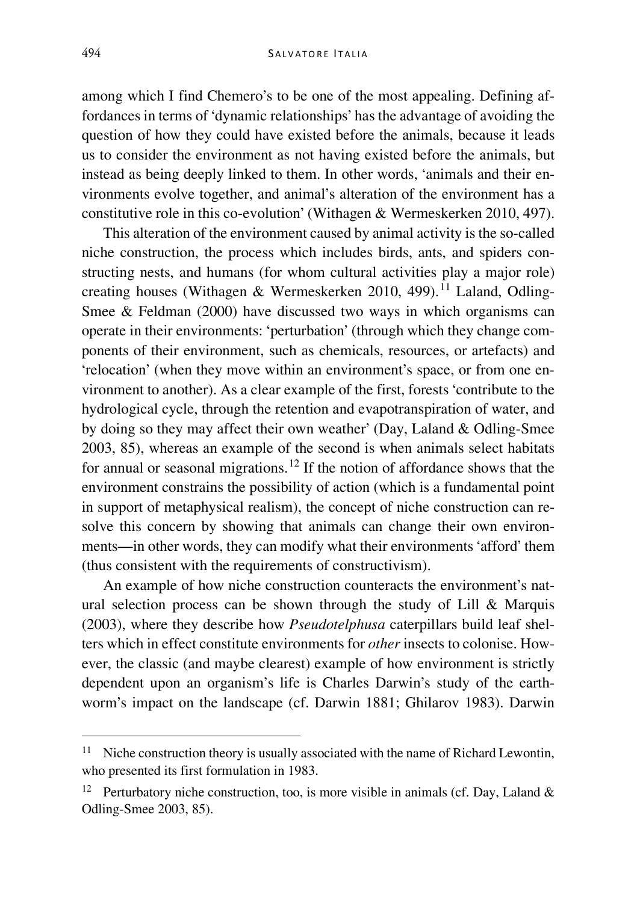#### 494 S ALVATORE I TALIA

among which I find Chemero's to be one of the most appealing. Defining affordances in terms of 'dynamic relationships' has the advantage of avoiding the question of how they could have existed before the animals, because it leads us to consider the environment as not having existed before the animals, but instead as being deeply linked to them. In other words, 'animals and their environments evolve together, and animal's alteration of the environment has a constitutive role in this co-evolution' (Withagen & Wermeskerken 2010, 497).

This alteration of the environment caused by animal activity is the so-called niche construction, the process which includes birds, ants, and spiders constructing nests, and humans (for whom cultural activities play a major role) creating houses (Withagen & Wermeskerken 2010, 499).<sup>[11](#page-6-0)</sup> Laland, Odling-Smee & Feldman (2000) have discussed two ways in which organisms can operate in their environments: 'perturbation' (through which they change components of their environment, such as chemicals, resources, or artefacts) and 'relocation' (when they move within an environment's space, or from one environment to another). As a clear example of the first, forests 'contribute to the hydrological cycle, through the retention and evapotranspiration of water, and by doing so they may affect their own weather' (Day, Laland & Odling-Smee 2003, 85), whereas an example of the second is when animals select habitats for annual or seasonal migrations.[12](#page-6-1) If the notion of affordance shows that the environment constrains the possibility of action (which is a fundamental point in support of metaphysical realism), the concept of niche construction can resolve this concern by showing that animals can change their own environments—in other words, they can modify what their environments 'afford' them (thus consistent with the requirements of constructivism).

An example of how niche construction counteracts the environment's natural selection process can be shown through the study of Lill & Marquis (2003), where they describe how *Pseudotelphusa* caterpillars build leaf shelters which in effect constitute environments for *other* insects to colonise. However, the classic (and maybe clearest) example of how environment is strictly dependent upon an organism's life is Charles Darwin's study of the earthworm's impact on the landscape (cf. Darwin 1881; Ghilarov 1983). Darwin

<span id="page-6-0"></span> $11$  Niche construction theory is usually associated with the name of Richard Lewontin, who presented its first formulation in 1983.

<span id="page-6-1"></span><sup>&</sup>lt;sup>12</sup> Perturbatory niche construction, too, is more visible in animals (cf. Day, Laland  $\&$ Odling-Smee 2003, 85).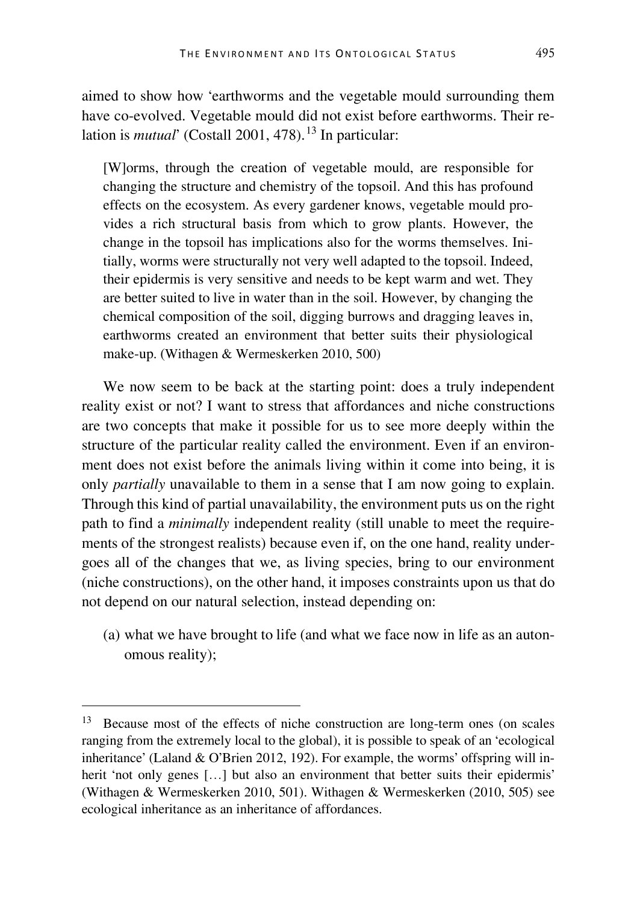aimed to show how 'earthworms and the vegetable mould surrounding them have co-evolved. Vegetable mould did not exist before earthworms. Their relation is *mutual*' (Costall 2001, 478). [13](#page-7-0) In particular:

[W]orms, through the creation of vegetable mould, are responsible for changing the structure and chemistry of the topsoil. And this has profound effects on the ecosystem. As every gardener knows, vegetable mould provides a rich structural basis from which to grow plants. However, the change in the topsoil has implications also for the worms themselves. Initially, worms were structurally not very well adapted to the topsoil. Indeed, their epidermis is very sensitive and needs to be kept warm and wet. They are better suited to live in water than in the soil. However, by changing the chemical composition of the soil, digging burrows and dragging leaves in, earthworms created an environment that better suits their physiological make-up. (Withagen & Wermeskerken 2010, 500)

We now seem to be back at the starting point: does a truly independent reality exist or not? I want to stress that affordances and niche constructions are two concepts that make it possible for us to see more deeply within the structure of the particular reality called the environment. Even if an environment does not exist before the animals living within it come into being, it is only *partially* unavailable to them in a sense that I am now going to explain. Through this kind of partial unavailability, the environment puts us on the right path to find a *minimally* independent reality (still unable to meet the requirements of the strongest realists) because even if, on the one hand, reality undergoes all of the changes that we, as living species, bring to our environment (niche constructions), on the other hand, it imposes constraints upon us that do not depend on our natural selection, instead depending on:

(a) what we have brought to life (and what we face now in life as an autonomous reality);

<span id="page-7-0"></span> <sup>13</sup> Because most of the effects of niche construction are long-term ones (on scales ranging from the extremely local to the global), it is possible to speak of an 'ecological inheritance' (Laland & O'Brien 2012, 192). For example, the worms' offspring will inherit 'not only genes [...] but also an environment that better suits their epidermis' (Withagen & Wermeskerken 2010, 501). Withagen & Wermeskerken (2010, 505) see ecological inheritance as an inheritance of affordances.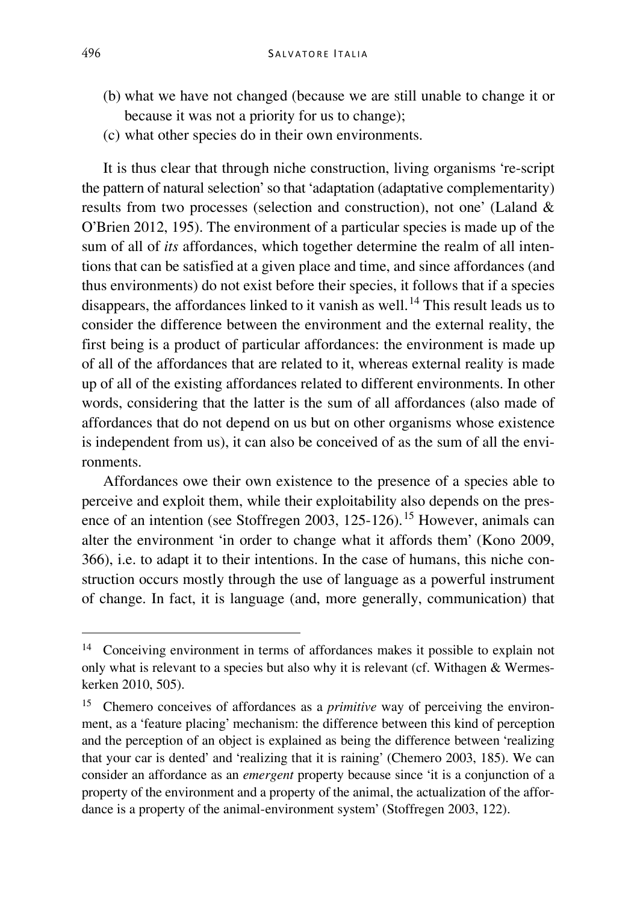- (b) what we have not changed (because we are still unable to change it or because it was not a priority for us to change);
- (c) what other species do in their own environments.

It is thus clear that through niche construction, living organisms 're-script the pattern of natural selection' so that 'adaptation (adaptative complementarity) results from two processes (selection and construction), not one' (Laland & O'Brien 2012, 195). The environment of a particular species is made up of the sum of all of *its* affordances, which together determine the realm of all intentions that can be satisfied at a given place and time, and since affordances (and thus environments) do not exist before their species, it follows that if a species disappears, the affordances linked to it vanish as well.<sup>[14](#page-8-0)</sup> This result leads us to consider the difference between the environment and the external reality, the first being is a product of particular affordances: the environment is made up of all of the affordances that are related to it, whereas external reality is made up of all of the existing affordances related to different environments. In other words, considering that the latter is the sum of all affordances (also made of affordances that do not depend on us but on other organisms whose existence is independent from us), it can also be conceived of as the sum of all the environments.

Affordances owe their own existence to the presence of a species able to perceive and exploit them, while their exploitability also depends on the pres-ence of an intention (see Stoffregen 2003, 125-126).<sup>[15](#page-8-1)</sup> However, animals can alter the environment 'in order to change what it affords them' (Kono 2009, 366), i.e. to adapt it to their intentions. In the case of humans, this niche construction occurs mostly through the use of language as a powerful instrument of change. In fact, it is language (and, more generally, communication) that

<span id="page-8-0"></span> <sup>14</sup> Conceiving environment in terms of affordances makes it possible to explain not only what is relevant to a species but also why it is relevant (cf. Withagen  $&$  Wermeskerken 2010, 505).

<span id="page-8-1"></span><sup>&</sup>lt;sup>15</sup> Chemero conceives of affordances as a *primitive* way of perceiving the environment, as a 'feature placing' mechanism: the difference between this kind of perception and the perception of an object is explained as being the difference between 'realizing that your car is dented' and 'realizing that it is raining' (Chemero 2003, 185). We can consider an affordance as an *emergent* property because since 'it is a conjunction of a property of the environment and a property of the animal, the actualization of the affordance is a property of the animal-environment system' (Stoffregen 2003, 122).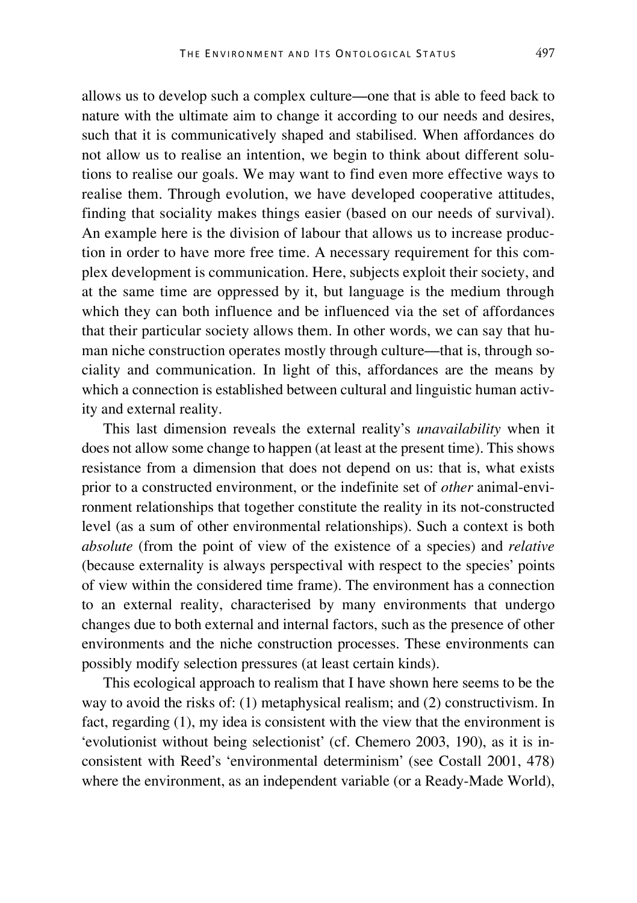allows us to develop such a complex culture—one that is able to feed back to nature with the ultimate aim to change it according to our needs and desires, such that it is communicatively shaped and stabilised. When affordances do not allow us to realise an intention, we begin to think about different solutions to realise our goals. We may want to find even more effective ways to realise them. Through evolution, we have developed cooperative attitudes, finding that sociality makes things easier (based on our needs of survival). An example here is the division of labour that allows us to increase production in order to have more free time. A necessary requirement for this complex development is communication. Here, subjects exploit their society, and at the same time are oppressed by it, but language is the medium through which they can both influence and be influenced via the set of affordances that their particular society allows them. In other words, we can say that human niche construction operates mostly through culture—that is, through sociality and communication. In light of this, affordances are the means by which a connection is established between cultural and linguistic human activity and external reality.

This last dimension reveals the external reality's *unavailability* when it does not allow some change to happen (at least at the present time). This shows resistance from a dimension that does not depend on us: that is, what exists prior to a constructed environment, or the indefinite set of *other* animal-environment relationships that together constitute the reality in its not-constructed level (as a sum of other environmental relationships). Such a context is both *absolute* (from the point of view of the existence of a species) and *relative* (because externality is always perspectival with respect to the species' points of view within the considered time frame). The environment has a connection to an external reality, characterised by many environments that undergo changes due to both external and internal factors, such as the presence of other environments and the niche construction processes. These environments can possibly modify selection pressures (at least certain kinds).

This ecological approach to realism that I have shown here seems to be the way to avoid the risks of: (1) metaphysical realism; and (2) constructivism. In fact, regarding (1), my idea is consistent with the view that the environment is 'evolutionist without being selectionist' (cf. Chemero 2003, 190), as it is inconsistent with Reed's 'environmental determinism' (see Costall 2001, 478) where the environment, as an independent variable (or a Ready-Made World),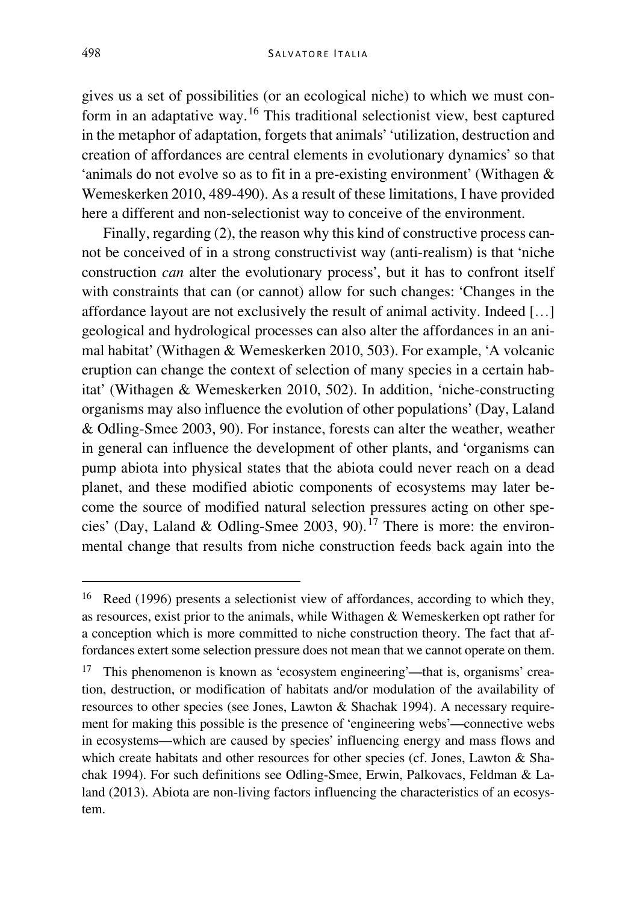gives us a set of possibilities (or an ecological niche) to which we must con-form in an adaptative way.<sup>[16](#page-10-0)</sup> This traditional selectionist view, best captured in the metaphor of adaptation, forgets that animals' 'utilization, destruction and creation of affordances are central elements in evolutionary dynamics' so that 'animals do not evolve so as to fit in a pre-existing environment' (Withagen & Wemeskerken 2010, 489-490). As a result of these limitations, I have provided here a different and non-selectionist way to conceive of the environment.

Finally, regarding (2), the reason why this kind of constructive process cannot be conceived of in a strong constructivist way (anti-realism) is that 'niche construction *can* alter the evolutionary process', but it has to confront itself with constraints that can (or cannot) allow for such changes: 'Changes in the affordance layout are not exclusively the result of animal activity. Indeed […] geological and hydrological processes can also alter the affordances in an animal habitat' (Withagen & Wemeskerken 2010, 503). For example, 'A volcanic eruption can change the context of selection of many species in a certain habitat' (Withagen & Wemeskerken 2010, 502). In addition, 'niche-constructing organisms may also influence the evolution of other populations' (Day, Laland & Odling-Smee 2003, 90). For instance, forests can alter the weather, weather in general can influence the development of other plants, and 'organisms can pump abiota into physical states that the abiota could never reach on a dead planet, and these modified abiotic components of ecosystems may later become the source of modified natural selection pressures acting on other spe-cies' (Day, Laland & Odling-Smee 2003, 90).<sup>[17](#page-10-1)</sup> There is more: the environmental change that results from niche construction feeds back again into the

<span id="page-10-0"></span> <sup>16</sup> Reed (1996) presents a selectionist view of affordances, according to which they, as resources, exist prior to the animals, while Withagen & Wemeskerken opt rather for a conception which is more committed to niche construction theory. The fact that affordances extert some selection pressure does not mean that we cannot operate on them.

<span id="page-10-1"></span><sup>&</sup>lt;sup>17</sup> This phenomenon is known as 'ecosystem engineering'—that is, organisms' creation, destruction, or modification of habitats and/or modulation of the availability of resources to other species (see Jones, Lawton & Shachak 1994). A necessary requirement for making this possible is the presence of 'engineering webs'—connective webs in ecosystems—which are caused by species' influencing energy and mass flows and which create habitats and other resources for other species (cf. Jones, Lawton & Shachak 1994). For such definitions see Odling-Smee, Erwin, Palkovacs, Feldman & Laland (2013). Abiota are non-living factors influencing the characteristics of an ecosystem.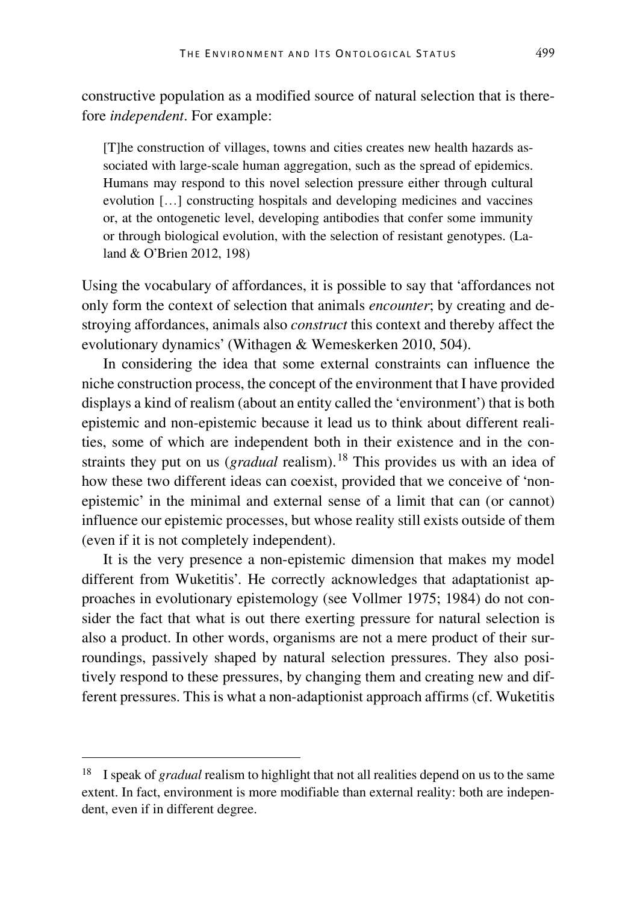constructive population as a modified source of natural selection that is therefore *independent*. For example:

[T]he construction of villages, towns and cities creates new health hazards associated with large-scale human aggregation, such as the spread of epidemics. Humans may respond to this novel selection pressure either through cultural evolution […] constructing hospitals and developing medicines and vaccines or, at the ontogenetic level, developing antibodies that confer some immunity or through biological evolution, with the selection of resistant genotypes. (Laland & O'Brien 2012, 198)

Using the vocabulary of affordances, it is possible to say that 'affordances not only form the context of selection that animals *encounter*; by creating and destroying affordances, animals also *construct* this context and thereby affect the evolutionary dynamics' (Withagen & Wemeskerken 2010, 504).

In considering the idea that some external constraints can influence the niche construction process, the concept of the environment that I have provided displays a kind of realism (about an entity called the 'environment') that is both epistemic and non-epistemic because it lead us to think about different realities, some of which are independent both in their existence and in the constraints they put on us (*gradual* realism).<sup>[18](#page-11-0)</sup> This provides us with an idea of how these two different ideas can coexist, provided that we conceive of 'nonepistemic' in the minimal and external sense of a limit that can (or cannot) influence our epistemic processes, but whose reality still exists outside of them (even if it is not completely independent).

It is the very presence a non-epistemic dimension that makes my model different from Wuketitis'. He correctly acknowledges that adaptationist approaches in evolutionary epistemology (see Vollmer 1975; 1984) do not consider the fact that what is out there exerting pressure for natural selection is also a product. In other words, organisms are not a mere product of their surroundings, passively shaped by natural selection pressures. They also positively respond to these pressures, by changing them and creating new and different pressures. This is what a non-adaptionist approach affirms (cf. Wuketitis

<span id="page-11-0"></span> <sup>18</sup> I speak of *gradual* realism to highlight that not all realities depend on us to the same extent. In fact, environment is more modifiable than external reality: both are independent, even if in different degree.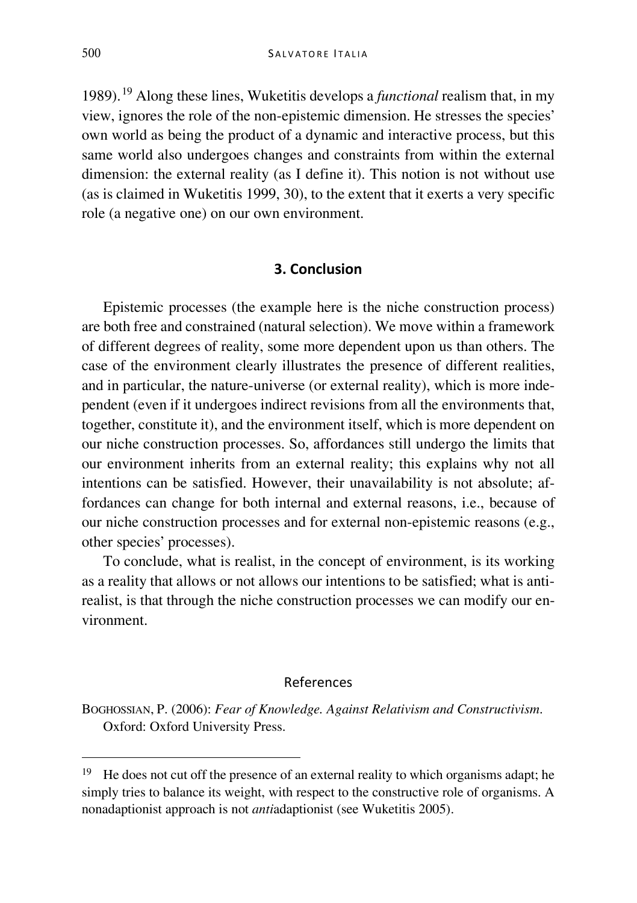1989).[19](#page-12-0) Along these lines, Wuketitis develops a *functional* realism that, in my view, ignores the role of the non-epistemic dimension. He stresses the species' own world as being the product of a dynamic and interactive process, but this same world also undergoes changes and constraints from within the external dimension: the external reality (as I define it). This notion is not without use (as is claimed in Wuketitis 1999, 30), to the extent that it exerts a very specific role (a negative one) on our own environment.

#### **3. Conclusion**

Epistemic processes (the example here is the niche construction process) are both free and constrained (natural selection). We move within a framework of different degrees of reality, some more dependent upon us than others. The case of the environment clearly illustrates the presence of different realities, and in particular, the nature-universe (or external reality), which is more independent (even if it undergoes indirect revisions from all the environments that, together, constitute it), and the environment itself, which is more dependent on our niche construction processes. So, affordances still undergo the limits that our environment inherits from an external reality; this explains why not all intentions can be satisfied. However, their unavailability is not absolute; affordances can change for both internal and external reasons, i.e., because of our niche construction processes and for external non-epistemic reasons (e.g., other species' processes).

To conclude, what is realist, in the concept of environment, is its working as a reality that allows or not allows our intentions to be satisfied; what is antirealist, is that through the niche construction processes we can modify our environment.

#### References

BOGHOSSIAN, P. (2006): *Fear of Knowledge. Against Relativism and Constructivism*. Oxford: Oxford University Press.

<span id="page-12-0"></span> $19$  He does not cut off the presence of an external reality to which organisms adapt; he simply tries to balance its weight, with respect to the constructive role of organisms. A nonadaptionist approach is not *anti*adaptionist (see Wuketitis 2005).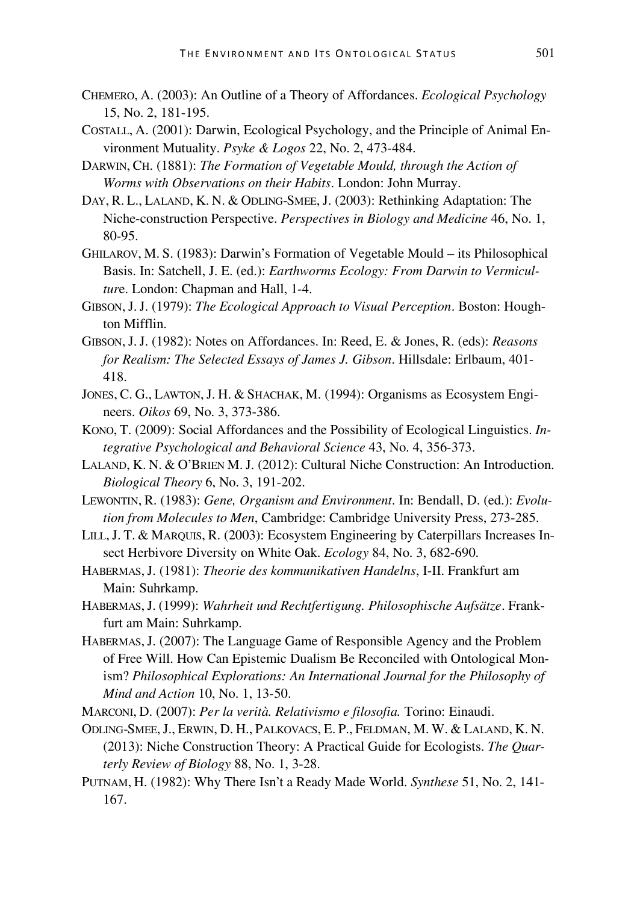- CHEMERO, A. (2003): An Outline of a Theory of Affordances. *Ecological Psychology* 15, No. 2, 181-195.
- COSTALL, A. (2001): Darwin, Ecological Psychology, and the Principle of Animal Environment Mutuality. *Psyke & Logos* 22, No. 2, 473-484.
- DARWIN, CH. (1881): *The Formation of Vegetable Mould, through the Action of Worms with Observations on their Habits*. London: John Murray.
- DAY, R. L., LALAND, K. N. & ODLING-SMEE, J. (2003): Rethinking Adaptation: The Niche-construction Perspective. *Perspectives in Biology and Medicine* 46, No. 1, 80-95.
- GHILAROV, M. S. (1983): Darwin's Formation of Vegetable Mould its Philosophical Basis. In: Satchell, J. E. (ed.): *Earthworms Ecology: From Darwin to Vermicultur*e. London: Chapman and Hall, 1-4.
- GIBSON, J.J. (1979): *The Ecological Approach to Visual Perception*. Boston: Houghton Mifflin.
- GIBSON, J.J. (1982): Notes on Affordances. In: Reed, E. & Jones, R. (eds): *Reasons for Realism: The Selected Essays of James J. Gibson*. Hillsdale: Erlbaum, 401- 418.
- JONES, C. G., LAWTON,J. H. & SHACHAK, M. (1994): Organisms as Ecosystem Engineers. *Oikos* 69, No. 3, 373-386.
- KONO, T. (2009): Social Affordances and the Possibility of Ecological Linguistics. *Integrative Psychological and Behavioral Science* 43, No. 4, 356-373.
- LALAND, K. N. & O'BRIEN M. J. (2012): Cultural Niche Construction: An Introduction. *Biological Theory* 6, No. 3, 191-202.
- LEWONTIN, R. (1983): *Gene, Organism and Environment*. In: Bendall, D. (ed.): *Evolution from Molecules to Men*, Cambridge: Cambridge University Press, 273-285.
- LILL,J. T. & MARQUIS, R. (2003): Ecosystem Engineering by Caterpillars Increases Insect Herbivore Diversity on White Oak. *Ecology* 84, No. 3, 682-690.
- HABERMAS,J. (1981): *Theorie des kommunikativen Handelns*, I-II. Frankfurt am Main: Suhrkamp.
- HABERMAS,J. (1999): *Wahrheit und Rechtfertigung. Philosophische Aufsätze*. Frankfurt am Main: Suhrkamp.
- HABERMAS,J. (2007): The Language Game of Responsible Agency and the Problem of Free Will. How Can Epistemic Dualism Be Reconciled with Ontological Monism? *Philosophical Explorations: An International Journal for the Philosophy of Mind and Action* 10, No. 1, 13-50.

MARCONI, D. (2007): *Per la verità. Relativismo e filosofia.* Torino: Einaudi.

- ODLING-SMEE,J., ERWIN, D. H., PALKOVACS, E. P., FELDMAN, M. W. & LALAND, K. N. (2013): Niche Construction Theory: A Practical Guide for Ecologists. *The Quarterly Review of Biology* 88, No. 1, 3-28.
- PUTNAM, H. (1982): Why There Isn't a Ready Made World. *Synthese* 51, No. 2, 141- 167.